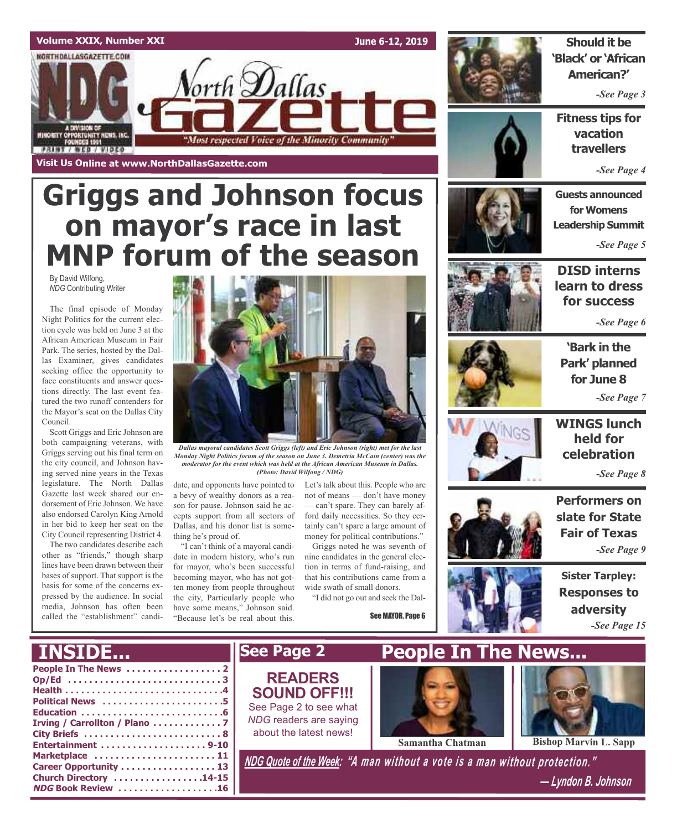

# **Griggs and Johnson focus on mayor's race in last MNP forum of the season**

By David Wilfong, *NDG* Contributing Writer

The final episode of Monday Night Politics for the current election cycle was held on June 3 at the African American Museum in Fair Park. The series, hosted by the Dallas Examiner, gives candidates seeking office the opportunity to face constituents and answer questions directly. The last event featured the two runoff contenders for the Mayor's seat on the Dallas City Council.

Scott Griggs and Eric Johnson are both campaigning veterans, with Griggs serving out his final term on the city council, and Johnson having served nine years in the Texas legislature. The North Dallas Gazette last week shared our endorsement of Eric Johnson. We have also endorsed Carolyn King Arnold in her bid to keep her seat on the City Council representing District 4.

The two candidates describe each other as "friends," though sharp lines have been drawn between their bases of support. That support is the basis for some of the concerns expressed by the audience. In social media, Johnson has often been called the "establishment" candi-

**INSIDE...**



*Dallas mayoral candidates Scott Griggs (left) and Eric Johnson (right) met for the last Monday Night Politics forum of the season on June 3. Demetria McCain (center) was the moderator for the event which was held at the African American Museum in Dallas. (Photo: David Wilfong / NDG)*

date, and opponents have pointed to a bevy of wealthy donors as a reason for pause. Johnson said he accepts support from all sectors of Dallas, and his donor list is something he's proud of.

"I can't think of a mayoral candidate in modern history, who's run for mayor, who's been successful becoming mayor, who has not gotten money from people throughout the city, Particularly people who have some means," Johnson said. "Because let's be real about this.

Let's talk about this. People who are not of means — don't have money — can't spare. They can barely afford daily necessities. So they certainly can't spare a large amount of money for political contributions."

Griggs noted he was seventh of nine candidates in the general election in terms of fund-raising, and that his contributions came from a wide swath of small donors.

"I did not go out and seek the Dal-

See MAYOR, Page 6





*-See Page 3*

**Fitness tips for vacation travellers**

*-See Page 4*

**Guests announced for Womens Leadership Summit**

*-See Page 5*



**DISD interns learn to dress for success**

*-See Page 6*



**'Bark in the Park' planned for June 8** *-See Page 7*



# **WINGS lunch held for celebration**

*-See Page 8*

**Performers on slate for State Fair of Texas**

*-See Page 9*

**Sister Tarpley:**



| I ANVADENI I              |
|---------------------------|
|                           |
| Op/Ed 3                   |
|                           |
| Political News 5          |
|                           |
|                           |
|                           |
|                           |
| Marketplace  11           |
| Career Opportunity 13     |
| Church Directory 14-15    |
| <b>NDG Book Review 16</b> |

**READERS SOUND OFF!!!** See Page 2 to see what *NDG* readers are saying about the latest news!

**See Page 2**



**Samantha Chatman Bishop Marvin L. Sapp** 

*NDG Quote of the Week: "A man without <sup>a</sup> vote is <sup>a</sup> man without protection."*

*— Lyndon B. Johnson*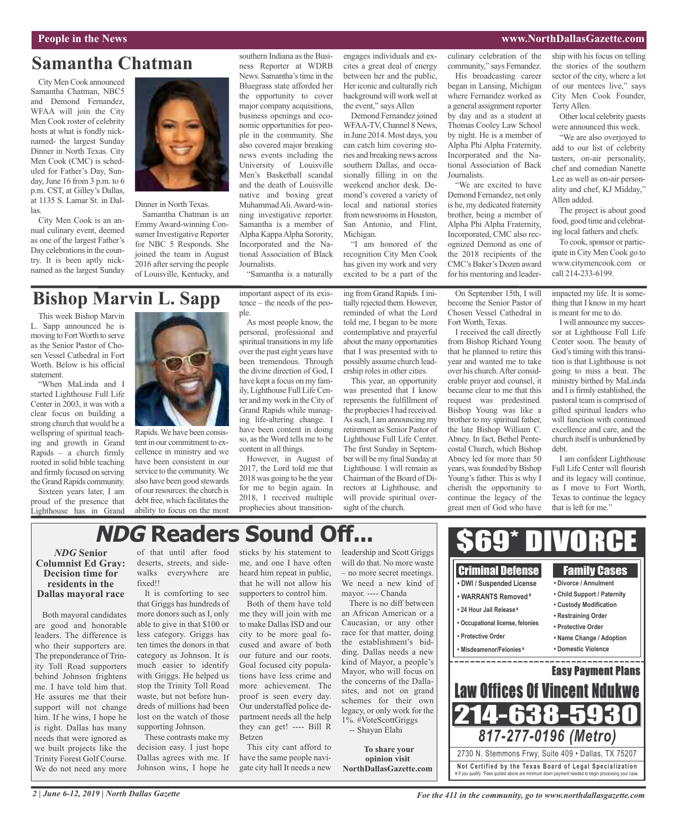### **People in the News www.NorthDallasGazette.com**

# **Samantha Chatman**

City MenCook announced Samantha Chatman, NBC5 and Demond Fernandez, WFAA will join the City Men Cook roster of celebrity hosts at what is fondly nicknamed- the largest Sunday Dinner in North Texas. City Men Cook (CMC) is scheduled for Father's Day, Sunday, June 16 from 3 p.m. to 6 p.m. CST, at Gilley's Dallas, at 1135 S. Lamar St. in Dallas.

City Men Cook is an annual culinary event, deemed as one of the largest Father's Day celebrations in the country. It is been aptly nicknamed as the largest Sunday



Dinner in North Texas.

Samantha Chatman is an Emmy Award-winning Consumer Investigative Reporter for NBC 5 Responds. She joined the team in August 2016 after serving the people of Louisville, Kentucky, and

### southern Indiana as the Business Reporter at WDRB News. Samantha's time in the Bluegrass state afforded her the opportunity to cover major company acquisitions, business openings and economic opportunities for people in the community. She also covered major breaking news events including the University of Louisville Men's Basketball scandal and the death of Louisville native and boxing great MuhammadAli.Award-winning investigative reporter. Samantha is a member of Alpha KappaAlpha Sorority, Incorporated and the National Association of Black Journalists.

"Samantha is a naturally

# **Bishop Marvin L. Sapp**

This week Bishop Marvin L. Sapp announced he is moving to FortWorth to serve as the Senior Pastor of Chosen Vessel Cathedral in Fort Worth. Below is his official statement.

"When MaLinda and I started Lighthouse Full Life Center in 2003, it was with a clear focus on building a strong church that would be a wellspring of spiritual teaching and growth in Grand Rapids – a church firmly rooted in solid bible teaching and firmly focused on serving the Grand Rapids community.

Sixteen years later, I am proud of the presence that Lighthouse has in Grand



Rapids.We have been consistent in our commitment to excellence in ministry and we have been consistent in our service to the community.We also have been good stewards of ourresources: the church is debt free, which facilitates the ability to focus on the most tence – the needs of the people.

As most people know, the personal, professional and spiritual transitions in my life over the past eight years have been tremendous. Through the divine direction of God, I have kept a focus on my family, Lighthouse Full LifeCenter and my work in theCity of Grand Rapids while managing life-altering change. I have been content in doing so, as the Word tells me to be content in all things.

However, in August of 2017, the Lord told me that 2018 was going to be the year for me to begin again. In 2018, I received multiple prophecies about transitionengages individuals and excites a great deal of energy between her and the public, Her iconic and culturally rich background will work well at the event," says Allen

Demond Fernandez joined WFAA-TV, Channel 8 News, in June 2014. Most days, you can catch him covering stories and breaking news across southern Dallas, and occasionally filling in on the weekend anchor desk. Demond's covered a variety of local and national stories from newsrooms in Houston, San Antonio, and Flint,

recognition City Men Cook has given my work and very excited to be a part of the

reminded of what the Lord told me, I began to be more contemplative and prayerful about the many opportunities that I was presented with to

was presented that I know represents the fulfillment of The first Sunday in Septemsight of the church.

culinary celebration of the community," says Fernandez. His broadcasting career began in Lansing, Michigan where Fernandez worked as a general assignment reporter by day and as a student at Thomas Cooley Law School by night. He is a member of Alpha Phi Alpha Fraternity, Incorporated and the National Association of Back Journalists.

"We are excited to have Demond Fernandez, not only is he, my dedicated fraternity brother, being a member of Alpha Phi Alpha Fraternity, Incorporated, CMC also recognized Demond as one of the 2018 recipients of the CMC's Baker's Dozen award for his mentoring and leader-

On September 15th, I will become the Senior Pastor of Chosen Vessel Cathedral in Fort Worth, Texas.

I received the call directly from Bishop Richard Young that he planned to retire this year and wanted me to take over his church.After considerable prayer and counsel, it became clear to me that this request was predestined. Bishop Young was like a brother to my spiritual father, the late Bishop William C. Abney. In fact, Bethel Pentecostal Church, which Bishop Abney led for more than 50 years, was founded by Bishop Young's father. This is why I cherish the opportunity to continue the legacy of the great men of God who have ship with his focus on telling the stories of the southern sector of the city, where a lot of our mentees live," says City Men Cook Founder, Terry Allen.

Other local celebrity guests were announced this week.

"We are also overjoyed to add to our list of celebrity tasters, on-air personality, chef and comedian Nanette Lee as well as on-air personality and chef, KJ Midday," Allen added.

The project is about good food, good time and celebrating local fathers and chefs.

To cook, sponsor or participate in City Men Cook go to www.citymencook.com or call 214-233-6199.

impacted my life. It is something that I know in my heart is meant for me to do.

I will announce my successor at Lighthouse Full Life Center soon. The beauty of God's timing with this transition is that Lighthouse is not going to miss a beat. The ministry birthed by MaLinda and I is firmly established, the pastoral team is comprised of gifted spiritual leaders who will function with continued excellence and care, and the church itself is unburdened by debt.

I am confident Lighthouse Full Life Center will flourish and its legacy will continue, as I move to Fort Worth, Texas to continue the legacy that is left for me."

# **NDG** Readers Sound Of

## *NDG* **Senior Columnist Ed Gray: Decision time for residents in the Dallas mayoral race**

Both mayoral candidates are good and honorable leaders. The difference is who their supporters are. The preponderance of Trinity Toll Road supporters behind Johnson frightens me. I have told him that. He assures me that their support will not change him. If he wins, I hope he is right. Dallas has many needs that were ignored as we built projects like the Trinity Forest Golf Course. We do not need any more of that until after food deserts, streets, and sidewalks everywhere are fixed!!

It is comforting to see that Griggs has hundreds of more donors such as I, only able to give in that \$100 or less category. Griggs has ten times the donors in that category as Johnson. It is much easier to identify with Griggs. He helped us stop the Trinity Toll Road waste, but not before hundreds of millions had been lost on the watch of those supporting Johnson.

These contrasts make my decision easy. I just hope Dallas agrees with me. If Johnson wins, I hope he sticks by his statement to me, and one I have often heard him repeat in public, that he will not allow his supporters to control him.

Both of them have told me they will join with me to make Dallas ISD and our city to be more goal focused and aware of both our future and our roots. Goal focused city populations have less crime and more achievement. The proof is seen every day. Our understaffed police department needs all the help they can get! ---- Bill R Betzen

This city cant afford to have the same people navigate city hall It needs a new

leadership and Scott Griggs will do that. No more waste – no more secret meetings. We need a new kind of mayor. ---- Chanda There is no diff between

an African American or a Caucasian, or any other race for that matter, doing the establishment's bidding. Dallas needs a new kind of Mayor, a people's Mayor, who will focus on the concerns of the Dallasites, and not on grand schemes for their own legacy, or only work for the 1%. #VoteScottGriggs -- Shayan Elahi

**To share your**

**opinion visit NorthDallasGazette.com**



possibly assume church leadership roles in other cities. This year, an opportunity

the prophecies I had received. As such, I am announcing my retirement as Senior Pastor of Lighthouse Full Life Center. ber will bemy final Sunday at Lighthouse. I will remain as Chairman of the Board of Directors at Lighthouse, and will provide spiritual over-

important aspect of its exising from Grand Rapids. I initially rejected them. However, Michigan. "I am honored of the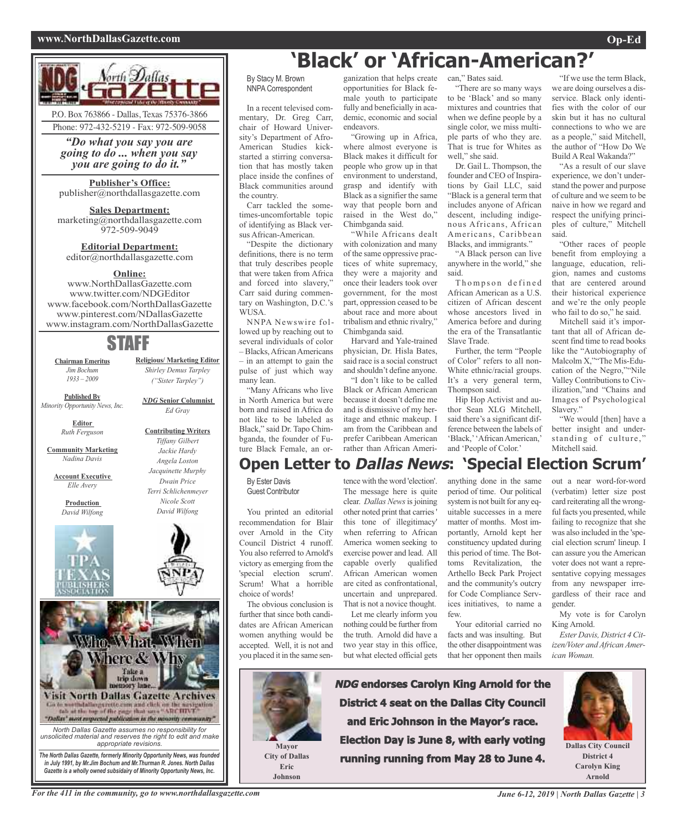## **www.NorthDallasGazette.com Op-Ed**



*"Do what you say you are going to do ... when you say you are going to do it."*

## **Publisher's Office:**

publisher@northdallasgazette.com

**Sales Department:** marketing@northdallasgazette.com 972-509-9049

## **Editorial Department:** editor@northdallasgazette.com

## **Online:**

www.NorthDallasGazette.com www.twitter.com/NDGEditor www.facebook.com/NorthDallasGazette www.pinterest.com/NDallasGazette www.instagram.com/NorthDallasGazette

# STAFF

**Chairman Emeritus** *Jim Bochum 1933 – 2009*

**Published By** *Minority Opportunity News, Inc.*

> **Editor** *Ruth Ferguson*

**Community Marketing** *Nadina Davis*

**Account Executive** *Elle Avery*

> **Production** *David Wilfong*





**Religious/ Marketing Editor** *Shirley Demus Tarpley ("Sister Tarpley")*

*NDG* **Senior Columnist** *Ed Gray*

**Contributing Writers** *Tiffany Gilbert Jackie Hardy Angela Loston Jacquinette Murphy Dwain Price*



*unsolicited material and reserves the right to edit and make appropriate revisions. The North Dallas Gazette, formerly Minority Opportunity News, was founded*

*in July 1991, by Mr.Jim Bochum and Mr.Thurman R. Jones. North Dallas Gazette is a wholly owned subsidairy of Minority Opportunity News, Inc.*

# **'Black' or 'African-American?'** can," Bates said.

By Stacy M. Brown NNPA Correspondent

In a recent televised commentary, Dr. Greg Carr, chair of Howard University's Department of Afro-American Studies kickstarted a stirring conversation that has mostly taken place inside the confines of Black communities around the country. Carr tackled the some-

times-uncomfortable topic of identifying as Black versus African-American.

"Despite the dictionary definitions, there is no term that truly describes people that were taken from Africa and forced into slavery," Carr said during commentary on Washington, D.C.'s WUSA.

NNPA Newswire followed up by reaching out to several individuals of color – Blacks,AfricanAmericans – in an attempt to gain the pulse of just which way many lean.

"Many Africans who live in North America but were born and raised in Africa do not like to be labeled as Black," said Dr. Tapo Chimbganda, the founder of Future Black Female, an or-

ganization that helps create opportunities for Black female youth to participate fully and beneficially in academic, economic and social endeavors.

"Growing up in Africa, where almost everyone is Black makes it difficult for people who grow up in that environment to understand, grasp and identify with Black as a signifier the same way that people born and raised in the West do," Chimbganda said.

"While Africans dealt with colonization and many of the same oppressive practices of white supremacy, they were a majority and once their leaders took over government, for the most part, oppression ceased to be about race and more about tribalism and ethnic rivalry," Chimbganda said.

Harvard and Yale-trained physician, Dr. Hisla Bates, said race is a social construct and shouldn't define anyone. "I don't like to be called

Black or African American because it doesn't define me and is dismissive of my heritage and ethnic makeup. I am from the Caribbean and prefer Caribbean American rather than African Ameri-

"There are so many ways to be 'Black' and so many

mixtures and countries that when we define people by a single color, we miss multiple parts of who they are. That is true for Whites as well," she said.

Dr. Gail L. Thompson, the founder and CEO of Inspirations by Gail LLC, said "Black is a general term that includes anyone of African descent, including indigenous Africans, African Americans, Caribbean Blacks, and immigrants."

"A Black person can live anywhere in the world," she said.

Thompson defined African American as a U.S. citizen of African descent whose ancestors lived in America before and during the era of the Transatlantic Slave Trade.

Further, the term "People of Color" refers to all non-White ethnic/racial groups. It's a very general term, Thompson said.

Hip Hop Activist and author Sean XLG Mitchell, said there's a significant difference between the labels of 'Black,' 'African American,' and 'People of Color.'

"If we use the term Black, we are doing ourselves a disservice. Black only identifies with the color of our skin but it has no cultural connections to who we are as a people," said Mitchell, the author of "How Do We Build A Real Wakanda?"

"As a result of our slave experience, we don't understand the power and purpose of culture and we seem to be naive in how we regard and respect the unifying principles of culture," Mitchell said.

"Other races of people benefit from employing a language, education, religion, names and customs that are centered around their historical experience and we're the only people who fail to do so," he said.

Mitchell said it's important that all of African descent find time to read books like the "Autobiography of Malcolm X,""The Mis-Education of the Negro,""Nile Valley Contributions to Civilization,"and "Chains and Images of Psychological Slavery."

"We would [then] have a better insight and understanding of culture," Mitchell said.

# **Open Letter to Dallas News: 'Special Election Scrum'**

By Ester Davis Guest Contributor

You printed an editorial recommendation for Blair over Arnold in the City Council District 4 runoff. You also referred to Arnold's victory as emerging from the 'special election scrum'. Scrum! What a horrible choice of words!

The obvious conclusion is further that since both candidates are African American women anything would be accepted. Well, it is not and you placed it in the same sen-

> **Mayor City of Dallas Eric Johnson**

tence with the word 'election'. The message here is quite clear. *Dallas News*isjoining other noted print that carries' this tone of illegitimacy' when referring to African America women seeking to exercise power and lead. All capable overly qualified African American women are cited as confrontational, uncertain and unprepared. That is not a novice thought.

Let me clearly inform you nothing could be further from the truth. Arnold did have a two year stay in this office, but what elected official gets anything done in the same period of time. Our political system is not built for any equitable successes in a mere matter of months. Most importantly, Arnold kept her constituency updated during this period of time. The Bottoms Revitalization, the Arthello Beck Park Project and the community's outcry for Code Compliance Services initiatives, to name a few.

Your editorial carried no facts and was insulting. But the other disappointment was that her opponent then mails

**NDG endorses Carolyn King Arnold for the District 4 seat on the Dallas City Council and Eric Johnson in the Mayor's race. Election Day is June 8, with early voting running running from May 28 to June 4.**

out a near word-for-word (verbatim) letter size post card reiterating all the wrongful facts you presented, while failing to recognize that she was also included in the 'special election scrum' lineup. I can assure you the American voter does not want a representative copying messages from any newspaper irregardless of their race and gender.

My vote is for Carolyn King Arnold.

*Ester Davis, District 4 Citizen/Voter andAfricanAmerican Woman.*



**Dallas City Council District 4 Carolyn King Arnold**

For the 411 in the community, go to www.northdallasgazette.com June 6-12, 2019 | North Dallas Gazette | 3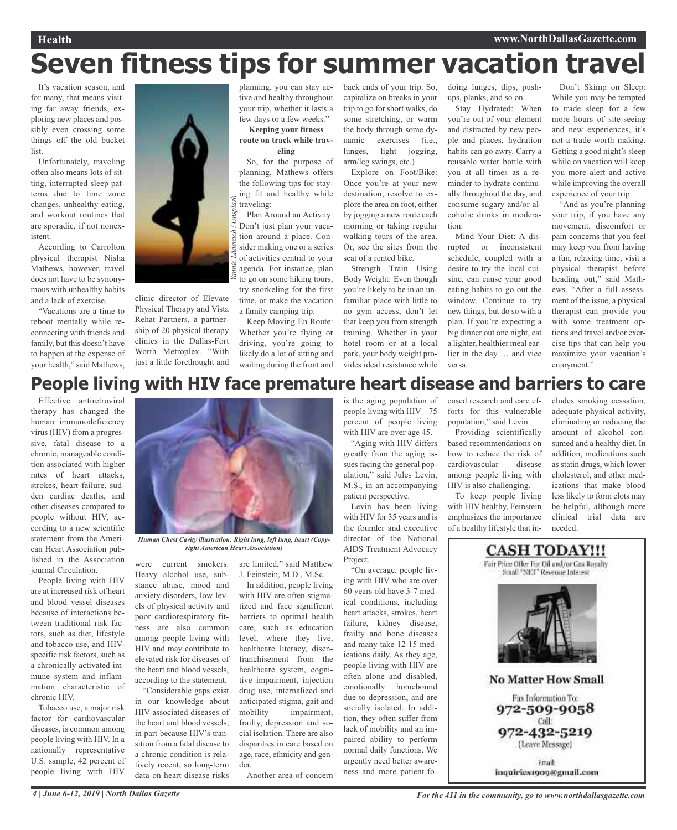**Health www.NorthDallasGazette.com**

# **Seven fitness tips for summer vacation travel**

It's vacation season, and for many, that means visiting far away friends, exploring new places and possibly even crossing some things off the old bucket list.

Unfortunately, traveling often also means lots of sitting, interrupted sleep patterns due to time zone changes, unhealthy eating, and workout routines that are sporadic, if not nonexistent.

According to Carrolton physical therapist Nisha Mathews, however, travel does not have to be synonymous with unhealthy habits and a lack of exercise.

"Vacations are a time to reboot mentally while reconnecting with friends and family, but this doesn't have to happen at the expense of your health," said Mathews,



clinic director of Elevate Physical Therapy and Vista Rehat Partners, a partnership of 20 physical therapy clinics in the Dallas-Fort Worth Metroplex. "With just a little forethought and

planning, you can stay active and healthy throughout your trip, whether it lasts a few days or a few weeks."

**Keeping your fitness route on track while traveling**

So, for the purpose of planning, Mathews offers the following tips for staying fit and healthy while traveling:

Plan Around an Activity: Don't just plan your vacation around a place. Consider making one or a series of activities central to your agenda. For instance, plan to go on some hiking tours, try snorkeling for the first time, or make the vacation a family camping trip.

Keep Moving En Route: Whether you're flying or driving, you're going to likely do a lot of sitting and waiting during the front and

back ends of your trip. So, capitalize on breaks in your trip to go for short walks, do some stretching, or warm the body through some dynamic exercises (i.e., lunges, light jogging, arm/leg swings, etc.)

Explore on Foot/Bike: Once you're at your new destination, resolve to explore the area on foot, either by jogging a new route each morning or taking regular walking tours of the area. Or, see the sites from the seat of a rented bike.

Strength Train Using Body Weight: Even though you're likely to be in an unfamiliar place with little to no gym access, don't let that keep you from strength training. Whether in your hotel room or at a local park, your body weight provides ideal resistance while

doing lunges, dips, pushups, planks, and so on.

Stay Hydrated: When you're out of your element and distracted by new people and places, hydration habits can go awry. Carry a reusable water bottle with you at all times as a reminder to hydrate continually throughout the day, and consume sugary and/or alcoholic drinks in moderation.

Mind Your Diet: A disrupted or inconsistent schedule, coupled with a desire to try the local cuisine, can cause your good eating habits to go out the window. Continue to try new things, but do so with a plan. If you're expecting a big dinner out one night, eat a lighter, healthier meal earlier in the day … and vice versa.

Don't Skimp on Sleep: While you may be tempted to trade sleep for a few more hours of site-seeing and new experiences, it's not a trade worth making. Getting a good night's sleep while on vacation will keep you more alert and active while improving the overall experience of your trip.

"And as you're planning your trip, if you have any movement, discomfort or pain concerns that you feel may keep you from having a fun, relaxing time, visit a physical therapist before heading out," said Mathews. "After a full assessment of the issue, a physical therapist can provide you with some treatment options and travel and/or exercise tips that can help you maximize your vacation's enjoyment."

# **People living with HIV face premature heart disease and barriers to care**

Effective antiretroviral therapy has changed the human immunodeficiency virus (HIV) from a progressive, fatal disease to a chronic, manageable condition associated with higher rates of heart attacks, strokes, heart failure, sudden cardiac deaths, and other diseases compared to people without HIV, according to a new scientific statement from the American Heart Association published in the Association journal Circulation.

People living with HIV are at increased risk of heart and blood vessel diseases because of interactions between traditional risk factors, such as diet, lifestyle and tobacco use, and HIVspecific risk factors, such as a chronically activated immune system and inflammation characteristic of chronic HIV.

Tobacco use, a major risk factor for cardiovascular diseases, is common among people living with HIV. In a nationally representative U.S. sample, 42 percent of people living with HIV



*Human Chest Cavity illustration: Right lung, left lung, heart (Copyright American Heart Association)*

were current smokers. Heavy alcohol use, substance abuse, mood and anxiety disorders, low levels of physical activity and poor cardiorespiratory fitness are also common among people living with HIV and may contribute to elevated risk for diseases of the heart and blood vessels, according to the statement.

"Considerable gaps exist in our knowledge about HIV-associated diseases of the heart and blood vessels, in part because HIV's transition from a fatal disease to a chronic condition is relatively recent, so long-term data on heart disease risks

are limited," said Matthew J. Feinstein, M.D., M.Sc.

In addition, people living with HIV are often stigmatized and face significant barriers to optimal health care, such as education level, where they live, healthcare literacy, disenfranchisement from the healthcare system, cognitive impairment, injection drug use, internalized and anticipated stigma, gait and mobility impairment, frailty, depression and social isolation. There are also disparities in care based on age, race, ethnicity and gender.

Another area of concern

is the aging population of people living with HIV – 75 percent of people living with HIV are over age 45.

"Aging with HIV differs greatly from the aging issues facing the general population," said Jules Levin, M.S., in an accompanying patient perspective.

Levin has been living with HIV for 35 years and is the founder and executive director of the National AIDS Treatment Advocacy Project.

"On average, people living with HIV who are over 60 years old have 3-7 medical conditions, including heart attacks, strokes, heart failure, kidney disease, frailty and bone diseases and many take 12-15 medications daily. As they age, people living with HIV are often alone and disabled, emotionally homebound due to depression, and are socially isolated. In addition, they often suffer from lack of mobility and an impaired ability to perform normal daily functions. We urgently need better awareness and more patient-focused research and care efforts for this vulnerable population," said Levin.

Providing scientifically based recommendations on how to reduce the risk of cardiovascular disease among people living with HIV is also challenging.

To keep people living with HIV healthy, Feinstein emphasizes the importance of a healthy lifestyle that includes smoking cessation, adequate physical activity, eliminating or reducing the amount of alcohol consumed and a healthy diet. In addition, medications such as statin drugs, which lower cholesterol, and other medications that make blood less likely to form clots may be helpful, although more clinical trial data are needed.

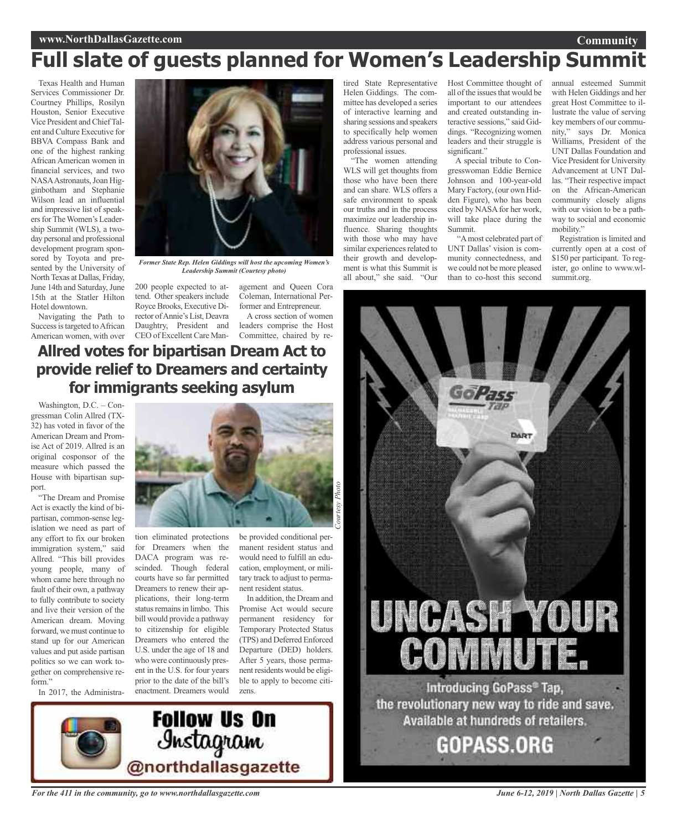## **www.NorthDallasGazette.com**

# **Full slate of guests planned for Women's Leadership Summit**

Texas Health and Human Services Commissioner Dr. Courtney Phillips, Rosilyn Houston, Senior Executive Vice President and ChiefTalent and Culture Executive for BBVA Compass Bank and one of the highest ranking African American women in financial services, and two NASAAstronauts,Joan Higginbotham and Stephanie Wilson lead an influential and impressive list of speakers for The Women's Leadership Summit (WLS), a twoday personal and professional development program sponsored by Toyota and presented by the University of North Texas at Dallas, Friday, June 14th and Saturday, June 15th at the Statler Hilton Hotel downtown.

Navigating the Path to Success is targeted to African American women, with over

*Former State Rep. Helen Giddings will host the upcoming Women's Leadership Summit (Courtesy photo)*

200 people expected to attend. Other speakers include RoyceBrooks, Executive Director ofAnnie's List, Deavra Daughtry, President and CEO of Excellent Care Management and Queen Cora Coleman, International Performer and Entrepreneur.

A cross section of women leaders comprise the Host Committee, chaired by re-

# **Allred votes for bipartisan Dream Act to provide relief to Dreamers and certainty for immigrants seeking asylum**

Washington, D.C. – Congressman Colin Allred (TX-32) has voted in favor of the American Dream and Promise Act of 2019. Allred is an original cosponsor of the measure which passed the House with bipartisan support.

"The Dream and Promise Act is exactly the kind of bipartisan, common-sense legislation we need as part of any effort to fix our broken immigration system," said Allred. "This bill provides young people, many of whom came here through no fault of their own, a pathway to fully contribute to society and live their version of the American dream. Moving forward, we must continue to stand up for our American values and put aside partisan politics so we can work together on comprehensive reform"

In 2017, the Administra-



tion eliminated protections for Dreamers when the DACA program was rescinded. Though federal courts have so far permitted Dreamers to renew their applications, their long-term status remains in limbo. This bill would provide a pathway to citizenship for eligible Dreamers who entered the U.S. under the age of 18 and who were continuously present in the U.S. for four years prior to the date of the bill's enactment. Dreamers would

**Follow Us On** 

*<u>Instagram</u>*<br>@northdallasgazette

be provided conditional permanent resident status and would need to fulfill an education, employment, or military track to adjust to permanent resident status.

In addition, the Dream and Promise Act would secure permanent residency for Temporary Protected Status (TPS) and Deferred Enforced Departure (DED) holders. After 5 years, those permanent residents would be eligible to apply to become citizens.



"The women attending WLS will get thoughts from those who have been there and can share. WLS offers a safe environment to speak our truths and in the process maximize our leadership influence. Sharing thoughts with those who may have similar experiences related to their growth and development is what this Summit is all about," she said. "Our

Host Committee thought of all of the issues that would be important to our attendees and created outstanding interactive sessions," said Giddings. "Recognizing women leaders and their struggle is significant."

A special tribute to Congresswoman Eddie Bernice Johnson and 100-year-old Mary Factory, (our own Hidden Figure), who has been cited by NASA for her work, will take place during the Summit.

"Amost celebrated part of UNT Dallas' vision is community connectedness, and we could not be more pleased than to co-host this second annual esteemed Summit with Helen Giddings and her great Host Committee to illustrate the value of serving key members of our community," says Dr. Monica Williams, President of the UNT Dallas Foundation and Vice President for University Advancement at UNT Dallas. "Their respective impact on the African-American community closely aligns with our vision to be a pathway to social and economic mobility."

**Community**

Registration is limited and currently open at a cost of \$150 per participant. To register, go online to www.wlsummit.org.

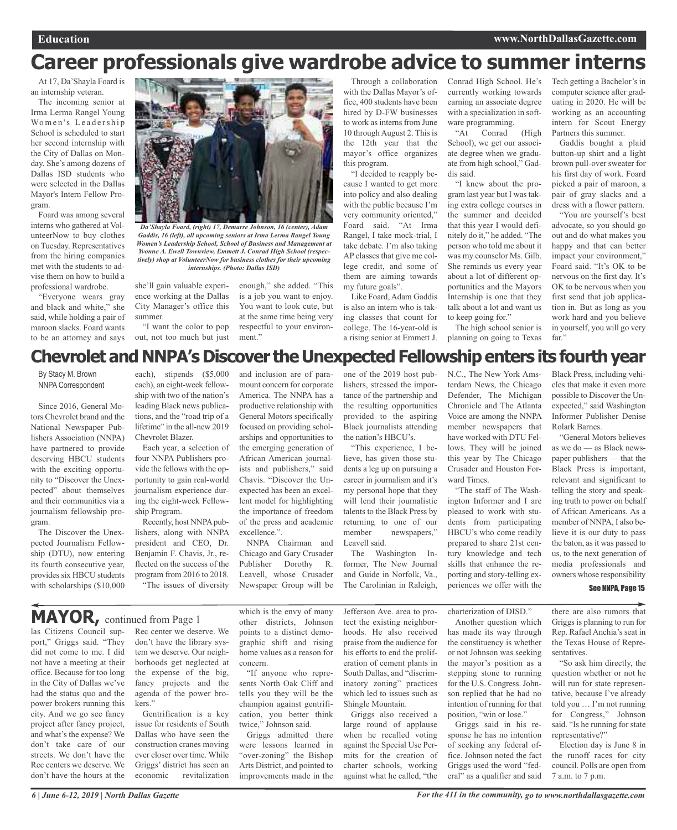# **Career professionals give wardrobe advice to summer interns**

At 17, Da'Shayla Foard is an internship veteran.

The incoming senior at Irma Lerma Rangel Young Women's Leadership School is scheduled to start her second internship with the City of Dallas on Monday. She's among dozens of Dallas ISD students who were selected in the Dallas Mayor's Intern Fellow Program.

Foard was among several interns who gathered at VolunteerNow to buy clothes on Tuesday. Representatives from the hiring companies met with the students to advise them on how to build a professional wardrobe.

"Everyone wears gray and black and white," she said, while holding a pair of maroon slacks. Foard wants to be an attorney and says



*Da'Shayla Foard, (right) 17, Demarre Johnson, 16 (center), Adam Gaddis, 16 (left), all upcoming seniors at Irma Lerma Rangel Young Women's Leadership School, School of Business and Management at Yvonne A. Ewell Townview, Emmett J. Conrad High School (respectively) shop at VolunteerNow for business clothes for their upcoming internships. (Photo: Dallas ISD)*

ment."

she'll gain valuable experience working at the Dallas City Manager's office this summer.

"I want the color to pop out, not too much but just the 12th year that the mayor's office organizes this program. "I decided to reapply because I wanted to get more into policy and also dealing with the public because I'm very community oriented,"

Foard said. "At Irma Rangel, I take mock-trial, I take debate. I'm also taking AP classes that give me college credit, and some of them are aiming towards my future goals".

Like Foard, Adam Gaddis is also an intern who is taking classes that count for college. The 16-year-old is a rising senior at Emmett J.

Through a collaboration with the Dallas Mayor's office, 400 students have been hired by D-FW businesses to work as interns from June 10 through August 2. This is Conrad High School. He's currently working towards earning an associate degree with a specialization in software programming.<br>"At Conrad

Conrad (High School), we get our associate degree when we graduate from high school," Gaddis said.

"I knew about the program last year but I was taking extra college courses in the summer and decided that this year I would definitely do it," he added. "The person who told me about it was my counselor Ms. Gilb. She reminds us every year about a lot of different opportunities and the Mayors Internship is one that they talk about a lot and want us to keep going for."

The high school senior is planning on going to Texas

Tech getting a Bachelor's in computer science after graduating in 2020. He will be working as an accounting intern for Scout Energy Partners this summer.

Gaddis bought a plaid button-up shirt and a light brown pull-over sweater for his first day of work. Foard picked a pair of maroon, a pair of gray slacks and a dress with a flower pattern.

"You are yourself's best advocate, so you should go out and do what makes you happy and that can better impact your environment," Foard said. "It's OK to be nervous on the first day. It's OK to be nervous when you first send that job application in. But as long as you work hard and you believe in yourself, you will go very far."

# **Chevrolet and NNPA's Discover the Unexpected Fellowship enters its fourth year**

By Stacy M. Brown NNPA Correspondent

Since 2016, General Motors Chevrolet brand and the National Newspaper Publishers Association (NNPA) have partnered to provide deserving HBCU students with the exciting opportunity to "Discover the Unexpected" about themselves and their communities via a journalism fellowship program.

The Discover the Unexpected Journalism Fellowship (DTU), now entering its fourth consecutive year, provides six HBCU students with scholarships (\$10,000

each), stipends (\$5,000 each), an eight-week fellowship with two of the nation's leading Black news publications, and the "road trip of a lifetime" in the all-new 2019 Chevrolet Blazer.

Each year, a selection of four NNPA Publishers provide the fellows with the opportunity to gain real-world journalism experience during the eight-week Fellowship Program.

Recently, host NNPA publishers, along with NNPA president and CEO, Dr. Benjamin F. Chavis, Jr., reflected on the success of the program from 2016 to 2018. "The issues of diversity and inclusion are of paramount concern for corporate America. The NNPA has a productive relationship with General Motors specifically focused on providing scholarships and opportunities to the emerging generation of African American journalists and publishers," said Chavis. "Discover the Unexpected has been an excellent model for highlighting the importance of freedom of the press and academic excellence.".

enough," she added. "This is a job you want to enjoy. You want to look cute, but at the same time being very respectful to your environ-

NNPA Chairman and Chicago and Gary Crusader Publisher Dorothy R. Leavell, whose Crusader Newspaper Group will be one of the 2019 host publishers, stressed the importance of the partnership and the resulting opportunities provided to the aspiring Black journalists attending the nation's HBCU's.

"This experience, I believe, has given those students a leg up on pursuing a career in journalism and it's my personal hope that they will lend their journalistic talents to the Black Press by returning to one of our member newspapers," Leavell said.

The Washington Informer, The New Journal and Guide in Norfolk, Va., The Carolinian in Raleigh, N.C., The New York Amsterdam News, the Chicago Defender, The Michigan Chronicle and The Atlanta Voice are among the NNPA member newspapers that have worked with DTU Fellows. They will be joined this year by The Chicago Crusader and Houston Forward Times.

"The staff of The Washington Informer and I are pleased to work with students from participating HBCU's who come readily prepared to share 21st century knowledge and tech skills that enhance the reporting and story-telling experiences we offer with the

Black Press, including vehicles that make it even more possible to Discover the Unexpected," said Washington Informer Publisher Denise Rolark Barnes.

"General Motors believes as we do — as Black newspaper publishers — that the Black Press is important, relevant and significant to telling the story and speaking truth to power on behalf of African Americans. As a member of NNPA, I also believe it is our duty to pass the baton, as it was passed to us, to the next generation of media professionals and owners whose responsibility

## See NNPA, Page 15

# **MAYOR,** continued from Page <sup>1</sup>

las Citizens Council support," Griggs said. "They did not come to me. I did not have a meeting at their office. Because for too long in the City of Dallas we've had the status quo and the power brokers running this city. And we go see fancy project after fancy project, and what's the expense? We don't take care of our streets. We don't have the Rec centers we deserve. We don't have the hours at the

Rec center we deserve. We don't have the library system we deserve. Our neighborhoods get neglected at the expense of the big, fancy projects and the agenda of the power brokers."

Gentrification is a key issue for residents of South Dallas who have seen the construction cranes moving ever closer over time. While Griggs' district has seen an economic revitalization which is the envy of many other districts, Johnson points to a distinct demographic shift and rising home values as a reason for concern.

"If anyone who represents North Oak Cliff and tells you they will be the champion against gentrification, you better think twice," Johnson said.

Griggs admitted there were lessons learned in "over-zoning" the Bishop Arts District, and pointed to improvements made in the Jefferson Ave. area to protect the existing neighborhoods. He also received praise from the audience for his efforts to end the proliferation of cement plants in South Dallas, and "discriminatory zoning" practices which led to issues such as Shingle Mountain.

Griggs also received a large round of applause when he recalled voting against the Special Use Permits for the creation of charter schools, working against what he called, "the

charterization of DISD." Another question which has made its way through the constituency is whether or not Johnson was seeking the mayor's position as a stepping stone to running for the U.S. Congress. Johnson replied that he had no intention of running for that position, "win or lose."

Griggs said in his response he has no intention of seeking any federal office. Johnson noted the fact Griggs used the word "federal" as a qualifier and said

there are also rumors that Griggs is planning to run for Rep. Rafael Anchia's seat in the Texas House of Representatives.

"So ask him directly, the question whether or not he will run for state representative, because I've already told you … I'm not running for Congress," Johnson said. "Is he running for state representative?"

Election day is June 8 in the runoff races for city council. Polls are open from 7 a.m. to 7 p.m.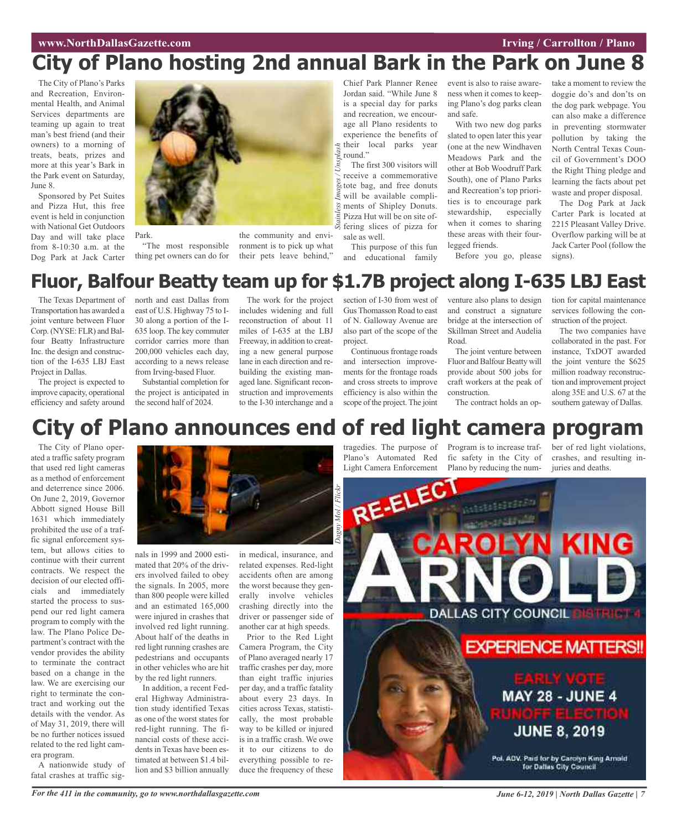# **City of Plano hosting 2nd annual Bark in the Park on June 8**

The City of Plano's Parks and Recreation, Environmental Health, and Animal Services departments are teaming up again to treat man's best friend (and their owners) to a morning of treats, beats, prizes and more at this year's Bark in the Park event on Saturday, June 8.

Sponsored by Pet Suites and Pizza Hut, this free event is held in conjunction with National Get Outdoors Day and will take place from 8-10:30 a.m. at the Dog Park at Jack Carter



"The most responsible thing pet owners can do for

Park.

the community and envi-

ronment is to pick up what their pets leave behind,"

Chief Park Planner Renee Jordan said. "While June 8 is a special day for parks and recreation, we encourage all Plano residents to experience the benefits of their local parks year round."

The first 300 visitors will receive a commemorative tote bag, and free donuts will be available compliments of Shipley Donuts. Pizza Hut will be on site offering slices of pizza for sale as well. *Stainless Images / Unsplash*

This purpose of this fun and educational family event is also to raise awareness when it comes to keeping Plano's dog parks clean and safe.

With two new dog parks slated to open later this year (one at the new Windhaven Meadows Park and the other at Bob Woodruff Park South), one of Plano Parks and Recreation's top priorities is to encourage park stewardship, especially when it comes to sharing these areas with their fourlegged friends.

Before you go, please

take a moment to review the doggie do's and don'ts on the dog park webpage. You can also make a difference in preventing stormwater pollution by taking the North Central Texas Council of Government's DOO the Right Thing pledge and learning the facts about pet waste and proper disposal.

The Dog Park at Jack Carter Park is located at 2215 Pleasant Valley Drive. Overflow parking will be at Jack Carter Pool (follow the signs).

# **Fluor, Balfour Beatty team up for \$1.7B project along I-635 LBJ East**

The Texas Department of Transportation has awarded a joint venture between Fluor Corp. (NYSE: FLR) and Balfour Beatty Infrastructure Inc. the design and construction of the I-635 LBJ East Project in Dallas.

The project is expected to improve capacity, operational efficiency and safety around

north and east Dallas from east of U.S. Highway 75 to I-30 along a portion of the I-635 loop. The key commuter corridor carries more than 200,000 vehicles each day, according to a news release from Irving-based Fluor.

Substantial completion for the project is anticipated in the second half of 2024.

The work for the project includes widening and full reconstruction of about 11 miles of I-635 at the LBJ Freeway, in addition to creating a new general purpose lane in each direction and rebuilding the existing managed lane. Significant reconstruction and improvements to the I-30 interchange and a

section of I-30 from west of Gus Thomasson Road to east of N. Galloway Avenue are also part of the scope of the project.

Continuous frontage roads and intersection improvements for the frontage roads and cross streets to improve efficiency is also within the scope of the project. The joint

venture also plans to design and construct a signature bridge at the intersection of Skillman Street and Audelia Road.

The joint venture between Fluor and Balfour Beatty will provide about 500 jobs for craft workers at the peak of construction.

The contract holds an op-

tion for capital maintenance services following the construction of the project.

The two companies have collaborated in the past. For instance, TxDOT awarded the joint venture the \$625 million roadway reconstruction and improvement project along 35E and U.S. 67 at the southern gateway of Dallas.

# **City of Plano announces end of red light camera program**

The City of Plano operated a traffic safety program that used red light cameras as a method of enforcement and deterrence since 2006. On June 2, 2019, Governor Abbott signed House Bill 1631 which immediately prohibited the use of a traffic signal enforcement system, but allows cities to continue with their current contracts. We respect the decision of our elected officials and immediately started the process to suspend our red light camera program to comply with the law. The Plano Police Department's contract with the vendor provides the ability to terminate the contract based on a change in the law. We are exercising our right to terminate the contract and working out the details with the vendor. As of May 31, 2019, there will be no further notices issued related to the red light camera program.

A nationwide study of fatal crashes at traffic sig-

nals in 1999 and 2000 estimated that 20% of the drivers involved failed to obey the signals. In 2005, more than 800 people were killed and an estimated 165,000 were injured in crashes that involved red light running. About half of the deaths in red light running crashes are pedestrians and occupants in other vehicles who are hit by the red light runners.

In addition, a recent Federal Highway Administration study identified Texas as one of the worst states for red-light running. The financial costs of these accidents in Texas have been estimated at between \$1.4 billion and \$3 billion annually

in medical, insurance, and related expenses. Red-light accidents often are among the worst because they generally involve vehicles crashing directly into the driver or passenger side of another car at high speeds.

Prior to the Red Light Camera Program, the City of Plano averaged nearly 17 traffic crashes per day, more than eight traffic injuries per day, and a traffic fatality about every 23 days. In cities across Texas, statistically, the most probable way to be killed or injured is in a traffic crash. We owe it to our citizens to do everything possible to reduce the frequency of these

Light Camera Enforcement Plano by reducing the num-juries and deaths.

tragedies. The purpose of Program is to increase traf-Plano's Automated Red fic safety in the City of crashes, and resulting in-

ber of red light violations,



For the 411 in the community, go to www.northdallasgazette.com June 6-12, 2019 | North Dallas Gazette | 7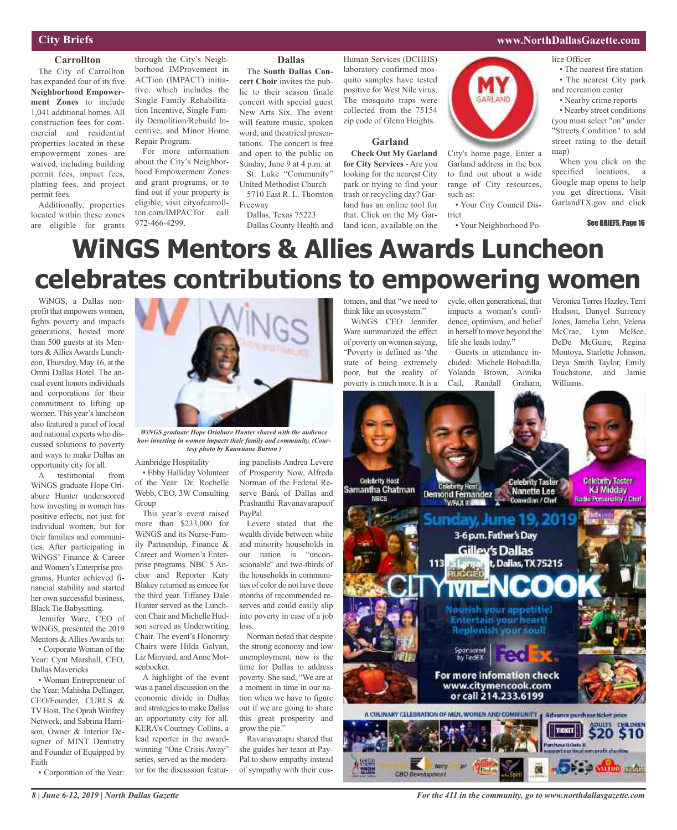# **City Briefs**

### **Carrollton**

The City of Carrollton has expanded four of its five **Neighborhood Empowerment Zones** to include 1,041 additional homes. All construction fees for commercial and residential properties located in these empowerment zones are waived, including building permit fees, impact fees, platting fees, and project permit fees.

Additionally, properties located within these zones are eligible for grants

through the City's Neighborhood IMProvement in ACTion (IMPACT) initiative, which includes the Single Family Rehabilitation Incentive, Single Family Demolition/Rebuild Incentive, and Minor Home Repair Program.

For more information about the City's Neighborhood Empowerment Zones and grant programs, or to find out if your property is eligible, visit cityofcarrollton.com/IMPACTor call 972-466-4299.

### **Dallas**

The **South Dallas Concert Choir** invites the public to their season finale concert with special guest New Arts Six. The event will feature music, spoken word, and theatrical presentations. The concert is free and open to the public on Sunday, June 9 at 4 p.m. at St. Luke "Community"

United Methodist Church 5710 East R. L. Thornton

Freeway Dallas, Texas 75223

Dallas County Health and

Human Services (DCHHS) laboratory confirmed mosquito samples have tested positive for West Nile virus. The mosquito traps were collected from the 75154 zip code of Glenn Heights.

## **Garland**

**Check Out My Garland for City Services** - Are you looking for the nearest City park or trying to find your trash or recycling day? Garland has an online tool for that. Click on the My Garland icon, available on the

## **www.NorthDallasGazette.com**

lice Officer

- The nearest fire station
- The nearest City park and recreation center
- Nearby crime reports

• Nearby street conditions (you must select "on" under "Streets Condition" to add street rating to the detail man)

When you click on the specified locations, a Google map opens to help you get directions. Visit GarlandTX.gov and click

See BRIEFS, Page 16

# **WiNGS Mentors & Allies Awards Luncheon celebrates contributions to empowering women**

WiNGS, a Dallas nonprofit that empowers women, fights poverty and impacts generations, hosted more than 500 guests at its Mentors & Allies Awards Luncheon,Thursday, May 16, at the Omni Dallas Hotel. The annual event honorsindividuals and corporations for their commitment to lifting up women. This year's luncheon also featured a panel of local and national experts who discussed solutions to poverty and ways to make Dallas an opportunity city for all.

A testimonial from WiNGS graduate Hope Oriabure Hunter underscored how investing in women has positive effects, not just for individual women, but for their families and communities. After participating in WiNGS' Finance & Career andWomen's Enterprise programs, Hunter achieved financial stability and started her own successful business, Black Tie Babysitting.

Jennifer Ware, CEO of WINGS, presented the 2019 Mentors & Allies Awards to:

• Corporate Woman of the Year: Cynt Marshall, CEO, Dallas Mavericks

• Woman Entrepreneur of the Year: Mahisha Dellinger, CEO/Founder, CURLS & TV Host, The Oprah Winfrey Network, and Sabrina Harrison, Owner & Interior Designer of MINT Dentistry and Founder of Equipped by Faith

• Corporation of the Year:



*how investing in women impacts their family and community. (Courtesy photo by Kauwuane Burton )*

Aimbridge Hospitality • Ebby Halliday Volunteer

of the Year: Dr. Rochelle Webb, CEO, 3W Consulting Group

This year's event raised more than \$233,000 for WiNGS and its Nurse-Family Partnership, Finance & Career and Women's Enterprise programs. NBC 5 Anchor and Reporter Katy Blakey returned as emcee for the third year. Tiffaney Dale Hunter served as the Luncheon Chair and Michelle Hudson served as Underwriting Chair. The event's Honorary Chairs were Hilda Galvan, Liz Minyard, and Anne Motsenbocker.

A highlight of the event was a panel discussion on the economic divide in Dallas and strategies to make Dallas an opportunity city for all. KERA's Courtney Collins, a lead reporter in the awardwinning "One Crisis Away" series, served as the moderator for the discussion featur-

ing panelists Andrea Levere of Prosperity Now, Alfreda Norman of the Federal Reserve Bank of Dallas and Prashanthi Ravanavarapuof PayPal.

Levere stated that the wealth divide between white and minority households in our nation is "unconscionable" and two-thirds of the households in communities of color do not have three months of recommended reserves and could easily slip into poverty in case of a job loss.

Norman noted that despite the strong economy and low unemployment, now is the time for Dallas to address poverty. She said, "We are at a moment in time in our nation when we have to figure out if we are going to share this great prosperity and grow the pie."

Ravanavarapu shared that she guides her team at Pay-Pal to show empathy instead of sympathy with their cus-

tomers, and that "we need to think like an ecosystem."

WiNGS CEO Jennifer Ware summarized the effect of poverty on women saying, "Poverty is defined as 'the state of being extremely poor, but the reality of poverty is much more. It is a cycle, often generational, that impacts a woman's confidence, optimism, and belief in herself to move beyond the life she leads today."

City's home page. Enter a Garland address in the box to find out about a wide range of City resources,

GARLAND

• Your City Council Dis-

• Your Neighborhood Po-

such as:

trict

Guests in attendance included: Michele Bobadilla, Yolanda Brown, Annika Cail, Randall Graham,

Veronica Torres Hazley, Terri Hudson, Danyel Surrency Jones, Jamelia Lehn, Velena McCrae, Lynn McBee, DeDe McGuire, Regina Montoya, Starlette Johnson, Deya Smith Taylor, Emily Touchstone, and Jamie Williams.



*For the 411 in the community, go to www.northdallasgazette.com*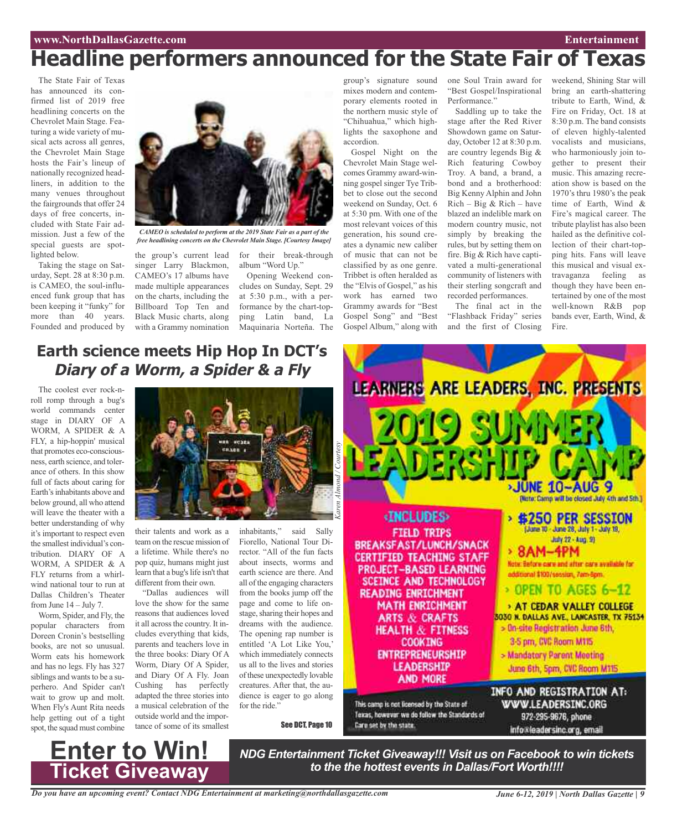# **Headline performers announced for the State Fair of Texas**

The State Fair of Texas has announced its confirmed list of 2019 free headlining concerts on the Chevrolet Main Stage. Featuring a wide variety of musical acts across all genres, the Chevrolet Main Stage hosts the Fair's lineup of nationally recognized headliners, in addition to the many venues throughout the fairgrounds that offer 24 days of free concerts, included with State Fair admission. Just a few of the special guests are spotlighted below.

Taking the stage on Saturday, Sept. 28 at 8:30 p.m. is CAMEO, the soul-influenced funk group that has been keeping it "funky" for more than 40 years. Founded and produced by



*CAMEO is scheduled to perform at the 2019 State Fair as a part of the free headlining concerts on the Chevrolet Main Stage. [Courtesy Image]*

singer Larry Blackmon, CAMEO's 17 albums have made multiple appearances on the charts, including the Billboard Top Ten and Black Music charts, along with a Grammy nomination

**Earth science meets Hip Hop In DCT's**

**Diary of <sup>a</sup> Worm, <sup>a</sup> Spider & <sup>a</sup> Fly**

the group's current lead for their break-through album "Word Up."

Opening Weekend concludes on Sunday, Sept. 29 at 5:30 p.m., with a performance by the chart-topping Latin band, La group's signature sound mixes modern and contemporary elements rooted in the northern music style of "Chihuahua," which highlights the saxophone and accordion.

Gospel Night on the Chevrolet Main Stage welcomes Grammy award-winning gospel singer Tye Tribbet to close out the second weekend on Sunday, Oct. 6 at 5:30 pm. With one of the most relevant voices of this generation, his sound creates a dynamic new caliber of music that can not be classified by as one genre. Tribbet is often heralded as the "Elvis of Gospel," as his work has earned two Grammy awards for "Best Gospel Song" and "Best Gospel Album," along with

one Soul Train award for "Best Gospel/Inspirational Performance."

Saddling up to take the stage after the Red River Showdown game on Saturday, October 12 at 8:30 p.m. are country legends Big & Rich featuring Cowboy Troy. A band, a brand, a bond and a brotherhood: Big Kenny Alphin and John  $Rich - Big & Rich - have$ blazed an indelible mark on modern country music, not simply by breaking the rules, but by setting them on fire. Big & Rich have captivated a multi-generational community of listeners with their sterling songcraft and recorded performances. The final act in the

"Flashback Friday" series and the first of Closing

weekend, Shining Star will bring an earth-shattering tribute to Earth, Wind, & Fire on Friday, Oct. 18 at 8:30 p.m. The band consists of eleven highly-talented vocalists and musicians, who harmoniously join together to present their music. This amazing recreation show is based on the 1970's thru 1980's the peak time of Earth, Wind & Fire's magical career. The tribute playlist has also been hailed as the definitive collection of their chart-topping hits. Fans will leave this musical and visual extravaganza feeling as though they have been entertained by one of the most well-known R&B pop bands ever, Earth, Wind, & Fire.

# Maquinaria Norteña. The

The coolest ever rock-nroll romp through a bug's world commands center stage in DIARY OF A WORM, A SPIDER & A FLY, a hip-hoppin' musical that promotes eco-consciousness, earth science, and tolerance of others. In this show full of facts about caring for Earth's inhabitants above and below ground, all who attend will leave the theater with a better understanding of why it's important to respect even the smallest individual's contribution. DIARY OF A WORM, A SPIDER & A FLY returns from a whirlwind national tour to run at Dallas Children's Theater from June 14 – July 7.

Worm, Spider, and Fly, the popular characters from Doreen Cronin's bestselling books, are not so unusual. Worm eats his homework and has no legs. Fly has 327 siblings and wants to be a superhero. And Spider can't wait to grow up and molt. When Fly's Aunt Rita needs help getting out of a tight spot, the squad must combine

**Enter to Win!**

**Ticket Giveaway**



their talents and work as a team on the rescue mission of a lifetime. While there's no pop quiz, humans might just learn that a bug's life isn't that different from their own.

"Dallas audiences will love the show for the same reasons that audiences loved it all across the country. It includes everything that kids, parents and teachers love in the three books: Diary Of A Worm, Diary Of A Spider, and Diary Of A Fly. Joan Cushing has perfectly adapted the three stories into a musical celebration of the outside world and the importance of some of its smallest

Fiorello, National Tour Director. "All of the fun facts about insects, worms and earth science are there. And all of the engaging characters from the books jump off the page and come to life onstage, sharing their hopes and dreams with the audience. The opening rap number is entitled 'A Lot Like You,' which immediately connects us all to the lives and stories of these unexpectedly lovable creatures. After that, the audience is eager to go along for the ride."

See DCT, Page 10



*NDG Entertainment Ticket Giveaway!!! Visit us on Facebook to win tickets to the the hottest events in Dallas/Fort Worth!!!!*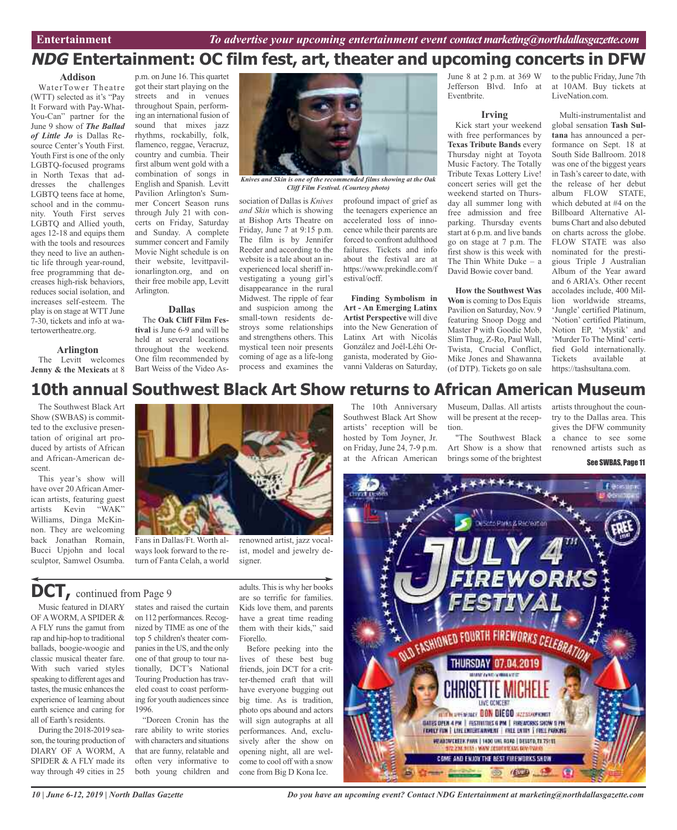# **NDG Entertainment: OC film fest, art, theater and upcoming concerts in DFW**

#### **Addison**

WaterTower Theatre (WTT) selected as it's "Pay It Forward with Pay-What-You-Can" partner for the June 9 show of *The Ballad of Little Jo* is Dallas Resource Center's Youth First. Youth First is one of the only LGBTQ-focused programs in North Texas that addresses the challenges LGBTQ teens face at home, school and in the community. Youth First serves LGBTQ and Allied youth, ages 12-18 and equips them with the tools and resources they need to live an authentic life through year-round, free programming that decreases high-risk behaviors, reduces social isolation, and increases self-esteem. The play is on stage at WTT June 7-30, tickets and info at watertowertheatre.org.

### **Arlington**

The Levitt welcomes **Jenny & the Mexicats** at 8

p.m. on June 16. This quartet got their start playing on the streets and in venues throughout Spain, performing an international fusion of sound that mixes jazz rhythms, rockabilly, folk, flamenco, reggae, Veracruz, country and cumbia. Their first album went gold with a combination of songs in English and Spanish. Levitt Pavilion Arlington's Summer Concert Season runs through July 21 with concerts on Friday, Saturday and Sunday. A complete summer concert and Family Movie Night schedule is on their website, levittpavilionarlington.org, and on their free mobile app, Levitt Arlington.

## **Dallas**

The **Oak Cliff Film Festival** is June 6-9 and will be held at several locations throughout the weekend. One film recommended by Bart Weiss of the Video As-



*Knives and Skin is one of the recommended films showing at the Oak Cliff Film Festival. (Courtesy photo)*

sociation of Dallas is *Knives and Skin* which is showing at Bishop Arts Theatre on Friday, June 7 at 9:15 p.m. The film is by Jennifer Reeder and according to the website is a tale about an inexperienced local sheriff investigating a young girl's disappearance in the rural Midwest. The ripple of fear and suspicion among the small-town residents destroys some relationships and strengthens others. This mystical teen noir presents coming of age as a life-long process and examines the

profound impact of grief as the teenagers experience an accelerated loss of innocence while their parents are forced to confront adulthood failures. Tickets and info about the festival are at https://www.prekindle.com/f estival/ocff.

**Finding Symbolism in Art - An Emerging Latinx Artist Perspective** will dive into the New Generation of Latinx Art with Nicolás González and Joél-Léhi Organista, moderated by Giovanni Valderas on Saturday,

June 8 at 2 p.m. at 369 W Jefferson Blvd. Info at Eventbrite.

### **Irving**

Kick start your weekend with free performances by **Texas Tribute Bands** every Thursday night at Toyota Music Factory. The Totally Tribute Texas Lottery Live! concert series will get the weekend started on Thursday all summer long with free admission and free parking. Thursday events start at 6 p.m. and live bands go on stage at 7 p.m. The first show is this week with The Thin White Duke – a David Bowie cover band.

**How the Southwest Was Won** is coming to Dos Equis Pavilion on Saturday, Nov. 9 featuring Snoop Dogg and Master P with Goodie Mob, Slim Thug, Z-Ro, Paul Wall, Twista, Crucial Conflict, Mike Jones and Shawanna (of DTP). Tickets go on sale to the public Friday, June 7th at 10AM. Buy tickets at LiveNation.com.

### Multi-instrumentalist and global sensation **Tash Sultana** has announced a performance on Sept. 18 at South Side Ballroom. 2018 was one of the biggest years in Tash's career to date, with the release of her debut album FLOW STATE, which debuted at #4 on the Billboard Alternative Albums Chart and also debuted on charts across the globe. FLOW STATE was also nominated for the prestigious Triple J Australian Album of the Year award and 6 ARIA's. Other recent accolades include, 400 Million worldwide streams, 'Jungle' certified Platinum, 'Notion' certified Platinum, Notion EP, 'Mystik' and 'Murder To The Mind' certified Gold internationally. Tickets available at https://tashsultana.com.

# **10th annual Southwest Black Art Show returns to African American Museum**

The Southwest Black Art Show (SWBAS) is committed to the exclusive presentation of original art produced by artists of African and African-American descent.

This year's show will have over 20 African American artists, featuring guest artists Kevin "WAK" Williams, Dinga McKinnon. They are welcoming back Jonathan Romain, Bucci Upjohn and local sculptor, Samwel Osumba.



signer.

Fans in Dallas/Ft. Worth always look forward to the return of Fanta Celah, a world

# **DCT,** continued from Page <sup>9</sup>

Music featured in DIARY OF AWORM, A SPIDER & A FLY runs the gamut from rap and hip-hop to traditional ballads, boogie-woogie and classic musical theater fare. With such varied styles speaking to different ages and tastes, the music enhances the experience of learning about earth science and caring for all of Earth's residents.

During the 2018-2019 season, the touring production of DIARY OF A WORM, A SPIDER & A FLY made its way through 49 cities in 25

states and raised the curtain on 112 performances.Recognized by TIME as one of the top 5 children's theater companies in the US, and the only one of that group to tour nationally, DCT's National Touring Production has traveled coast to coast performing for youth audiences since 1996.

"Doreen Cronin has the rare ability to write stories with characters and situations that are funny, relatable and often very informative to both young children and

adults. This is why her books are so terrific for families. Kids love them, and parents have a great time reading them with their kids," said Fiorello.

renowned artist, jazz vocalist, model and jewelry de-

Before peeking into the lives of these best bug friends, join DCT for a critter-themed craft that will have everyone bugging out big time. As is tradition, photo ops abound and actors will sign autographs at all performances. And, exclusively after the show on opening night, all are welcome to cool off with a snow cone from Big D Kona Ice.

The 10th Anniversary Southwest Black Art Show artists' reception will be hosted by Tom Joyner, Jr. on Friday, June 24, 7-9 p.m. at the African American Museum, Dallas. All artists will be present at the reception.

"The Southwest Black Art Show is a show that brings some of the brightest

artists throughout the country to the Dallas area. This gives the DFW community a chance to see some renowned artists such as

## See SWBAS, Page 11



*Do you have an upcoming event? Contact NDG Entertainment at marketing@northdallasgazette.com*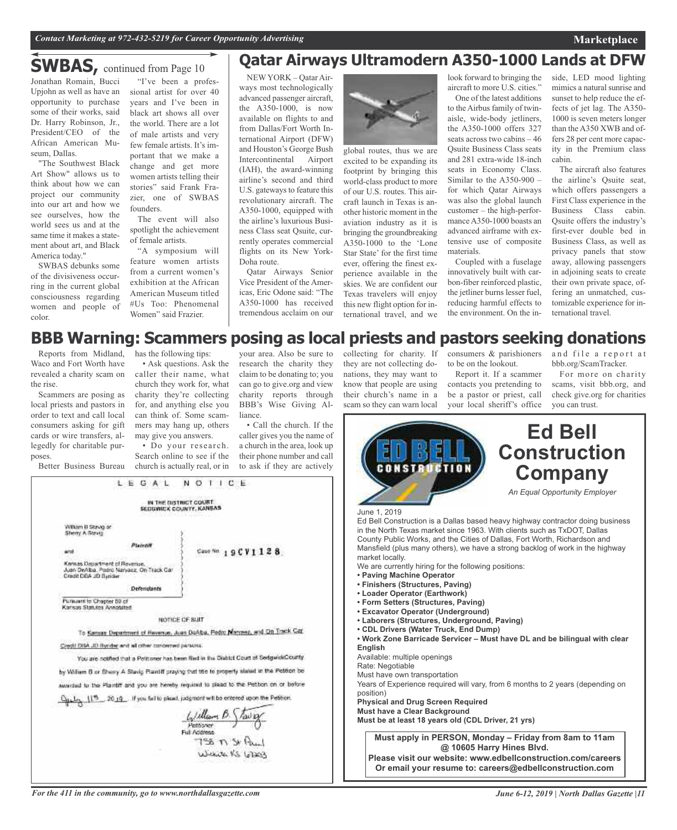## **Marketplace**

# **SWBAS,** continued from Page <sup>10</sup>

Jonathan Romain, Bucci Upjohn as well as have an sional artist for over 40 opportunity to purchase some of their works, said Dr. Harry Robinson, Jr., President/CEO of the African American Museum, Dallas.

"The Southwest Black Art Show" allows us to think about how we can project our community into our art and how we see ourselves, how the world sees us and at the same time it makes a statement about art, and Black America today."

SWBAS debunks some of the divisiveness occurring in the current global consciousness regarding women and people of color.

"I've been a profesyears and I've been in black art shows all over the world. There are a lot of male artists and very few female artists. It's important that we make a change and get more women artists telling their stories" said Frank Frazier, one of SWBAS founders.

The event will also spotlight the achievement of female artists.

"A symposium will feature women artists from a current women's exhibition at the African American Museum titled #Us Too: Phenomenal Women" said Frazier.

# **Qatar Airways Ultramodern A350-1000 Lands at DFW**

NEWYORK – Qatar Airways most technologically advanced passenger aircraft, the A350-1000, is now available on flights to and from Dallas/Fort Worth International Airport (DFW) and Houston's George Bush Intercontinental Airport (IAH), the award-winning airline's second and third U.S. gateways to feature this revolutionary aircraft. The A350-1000, equipped with the airline's luxurious Business Class seat Qsuite, currently operates commercial flights on its New York-Doha route.

Qatar Airways Senior Vice President of the Americas, Eric Odone said: "The A350-1000 has received tremendous acclaim on our



global routes, thus we are excited to be expanding its footprint by bringing this world-class product to more of our U.S. routes. This aircraft launch in Texas is another historic moment in the aviation industry as it is bringing the groundbreaking A350-1000 to the 'Lone Star State' for the first time ever, offering the finest experience available in the skies. We are confident our Texas travelers will enjoy this new flight option for international travel, and we

look forward to bringing the aircraft to more U.S. cities." One of the latest additions to the Airbus family of twinaisle, wide-body jetliners, the A350-1000 offers 327 seats across two cabins – 46 Qsuite Business Class seats and 281 extra-wide 18-inch seats in Economy Class. Similar to the A350-900 – for which Qatar Airways was also the global launch customer – the high-performanceA350-1000 boasts an advanced airframe with extensive use of composite materials.

Coupled with a fuselage innovatively built with carbon-fiber reinforced plastic, the jetliner burns lesser fuel, reducing harmful effects to the environment. On the inside, LED mood lighting mimics a natural sunrise and sunset to help reduce the effects of jet lag. The A350- 1000 is seven meters longer than the A350 XWB and offers 28 per cent more capacity in the Premium class cabin.

The aircraft also features the airline's Qsuite seat, which offers passengers a First Class experience in the Business Class cabin. Qsuite offers the industry's first-ever double bed in Business Class, as well as privacy panels that stow away, allowing passengers in adjoining seats to create their own private space, offering an unmatched, customizable experience for international travel.

# **BBB Warning: Scammers posing as local priests and pastors seeking donations**

Reports from Midland, has the following tips: Waco and Fort Worth have revealed a charity scam on the rise.

Scammers are posing as local priests and pastors in order to text and call local consumers asking for gift cards or wire transfers, allegedly for charitable purposes.

Better Business Bureau

William B Stavig of Sherry A Strut

Pursuant to Chapter 80 of Karisas Statutes Annotated

and

• Ask questions. Ask the caller their name, what church they work for, what charity they're collecting for, and anything else you can think of. Some scammers may hang up, others may give you answers.

• Do your research. Search online to see if the church is actually real, or in

LEGAL NOTICE

IN THE DISTRICT COURT<br>SEDGWICK COUNTY, KANSAS

NOTICE OF BUIT To Kansas Department of Havenue, Juan DoAba, Redit Maryaez, and On Track Car

You are notified that a Petituner has been find in the District Court of SedgwickCounty. by William B or Sherry A Stavic Plaintiff praying that the to property stated in the Petrion be awardad to the Plantiff and you are hereby required to plead to the Petition on or before المسلم السلوك 2014. If you fields plead, judgment will be entered upon the Petiton

 $\frac{L_1/ m l_{\text{form}} \beta \sqrt{L_1} \beta}{L_2}$ Full Notioner

 $158 \pi S$ 

Case Nn 19CV1128

Plaintif

Defendants

Credit DBA JD Syndag and all other concerned parades:

Kansas Department of Revenue.<br>Juan DeAlba, Padro Naryaoz, On Track Car<br>Credit DDA JD Byrider

your area. Also be sure to research the charity they claim to be donating to; you can go to give.org and view charity reports through BBB's Wise Giving Alliance.

• Call the church. If the caller gives you the name of a church in the area, look up their phone number and call to ask if they are actively

collecting for charity. If consumers & parishioners they are not collecting donations, they may want to know that people are using their church's name in a scam so they can warn local

to be on the lookout.

Report it. If a scammer contacts you pretending to be a pastor or priest, call your local sheriff's office and file a report at bbb.org/ScamTracker.

For more on charity scams, visit bbb.org, and check give.org for charities you can trust.



Wickets KS 67203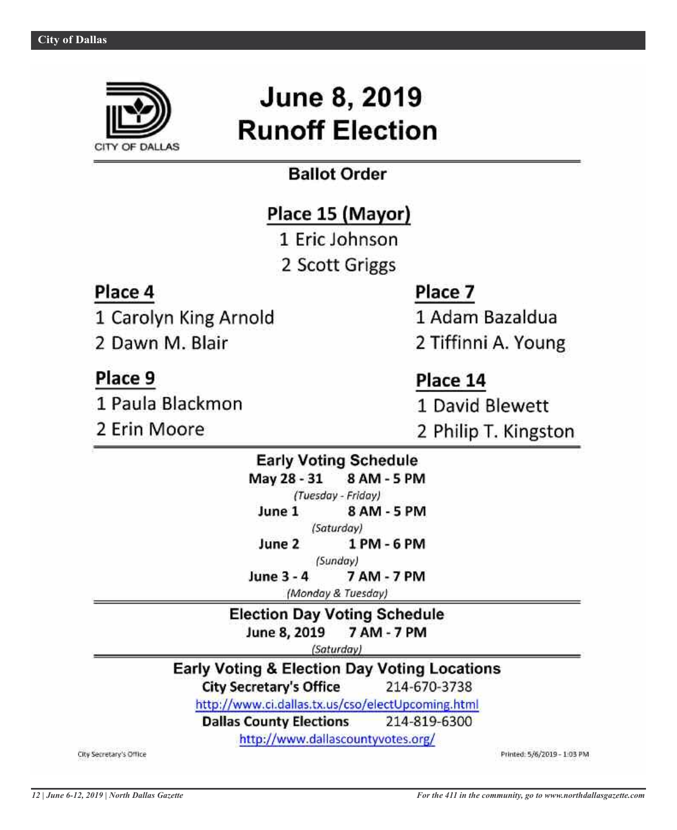

# **June 8, 2019 Runoff Election**

# **Ballot Order**

# Place 15 (Mayor)

1 Eric Johnson

2 Scott Griggs

# Place 4

- 1 Carolyn King Arnold
- 2 Dawn M. Blair

# Place 9

1 Paula Blackmon

2 Erin Moore

# Place 7

1 Adam Bazaldua

2 Tiffinni A. Young

# Place 14

1 David Blewett

2 Philip T. Kingston

# **Early Voting Schedule** May 28 - 31 8 AM - 5 PM (Tuesday - Friday) June 1 8 AM - 5 PM

(Saturday) June 2 1 PM - 6 PM

(Sunday)

June 3 - 4 7 AM - 7 PM

(Monday & Tuesday)

**Election Day Voting Schedule** June 8, 2019 7 AM - 7 PM

(Saturday)

**Early Voting & Election Day Voting Locations** 

**City Secretary's Office** 214-670-3738

http://www.ci.dallas.tx.us/cso/electUpcoming.html

214-819-6300 **Dallas County Elections** 

http://www.dallascountyvotes.org/

City Secretary's Office

Printed: 5/6/2019 - 1:03 PM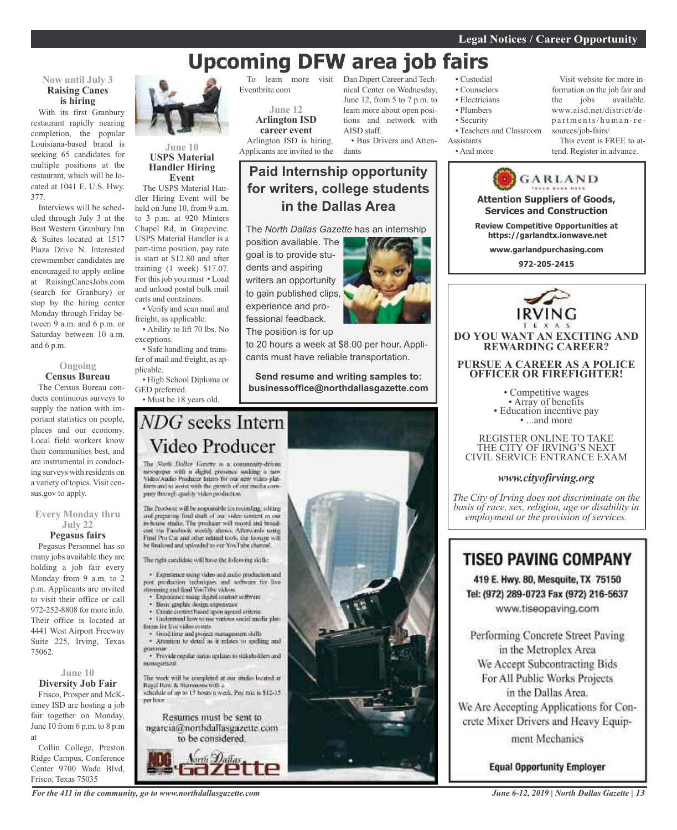# **Upcoming DFW area job fairs**

## **Now until July 3 Raising Canes is hiring**

With its first Granbury restaurant rapidly nearing completion, the popular Louisiana-based brand is seeking 65 candidates for multiple positions at the restaurant, which will be located at 1041 E. U.S. Hwy. 377.

Interviews will be scheduled through July 3 at the Best Western Granbury Inn & Suites located at 1517 Plaza Drive N. Interested crewmember candidates are encouraged to apply online at RaisingCanesJobs.com (search for Granbury) or stop by the hiring center Monday through Friday between 9 a.m. and 6 p.m. or Saturday between 10 a.m. and 6 p.m.

### **Ongoing Census Bureau**

The Census Bureau conducts continuous surveys to supply the nation with important statistics on people, places and our economy. Local field workers know their communities best, and are instrumental in conducting surveys with residents on a variety of topics. Visit census.gov to apply.

**Every Monday thru July 22**

# **Pegasus fairs**

Pegasus Personnel has so many jobs available they are holding a job fair every Monday from 9 a.m. to 2 p.m. Applicants are invited to visit their office or call 972-252-8808 for more info. Their office is located at 4441 West Airport Freeway Suite 225, Irving, Texas 75062.

### **June 10 Diversity Job Fair**

Frisco, Prosper and McKinney ISD are hosting a job fair together on Monday, June 10 from 6 p.m. to 8 p.m at

Collin College, Preston Ridge Campus, Conference Center 9700 Wade Blvd, Frisco, Texas 75035



## **June 10 USPS Material Handler Hiring Event**

The USPS Material Handler Hiring Event will be held on June 10, from 9 a.m. to 3 p.m. at 920 Minters Chapel Rd, in Grapevine. USPS Material Handler is a part-time position, pay rate is start at \$12.80 and after training (1 week) \$17.07. For thisjob you must • Load and unload postal bulk mail carts and containers.

• Verify and scan mail and freight, as applicable.

• Ability to lift 70 lbs. No exceptions.

• Safe handling and transfer of mail and freight, as applicable.

• High School Diploma or GED preferred.

• Must be 18 years old.

To learn more visit Eventbrite.com

> **June 12 Arlington ISD career event**

Arlington ISD is hiring. Applicants are invited to the

# **Paid Internship opportunity for writers, college students in the Dallas Area**

The *North Dallas Gazette* has an internship

position available. The goal is to provide students and aspiring writers an opportunity to gain published clips, experience and professional feedback. The position is for up



learn more about open positions and network with

• Bus Drivers and Atten-

AISD staff.

dants

to 20 hours a week at \$8.00 per hour. Applicants must have reliable transportation.

**Send resume and writing samples to: businessoffice@northdallasgazette.com**

# NDG seeks Intern Video Producer

The North Dallas Gazette is a community-driven newspaper with a digital presence socking a new form and to assist with the growth of out modia company through quality video production.

The Producer will be responsible for recording, editing and preparing final draft of our video content in our<br>in-house stadio. The producer will record and broadciat sta Facefieck weekly shows. Afterwards using Final Pro Cor and other related tools, the horage will he finalized and uploaded to our YouTube channel.

The radii cardidate will have the following skills;

· Experience using video and malio production and post production techniques and software for live streaming and find YouTube videos.

- · Experience using digital content settware
- Basic graphic design expensive Unite content hased upon agreed criteria
- · Understand how to use various social media platfinges for live video events.
- · Good time and project management shills · Attention to detail as it relates to spelling and
- · Provide regular states updates to stakeholders and

minagement

The work will be completed at our studio located at Regal Row & Stemmons with a<br>schedule of up to 15 hours a week. Pay rate is \$12-15 per hoor.

Resumes must be sent to ngarcia@northdallasgazette.com to be considered.



*For the 411 in the community, go to www.northdallasgazette.com*

Dan Dipert Career and Technical Center on Wednesday, June 12, from 5 to 7 p.m. to • Custodial • Counselors • Electricians

- Plumbers
- Security
- Teachers and Classroom
- Assistants
- And more

Visit website for more information on the job fair and the jobs available. www.aisd.net/district/dep a rtme n ts/ h uma n -r e sources/job-fairs/

This event is FREE to attend. Register in advance.



• Competitive wages<br>• Array of benefits<br>• Education incentive pay<br>• ...and more

REGISTER ONLINE TO TAKE THE CITY OF IRVING'S NEXT CIVIL SERVICE ENTRANCE EXAM

## *www.cityofirving.org*

*The City of Irving does not discriminate on the basis of race, sex, religion, age or disability in employment or the provision of services.*

# **TISEO PAVING COMPANY**

419 E. Hwy. 80, Mesquite, TX 75150 Tel: (972) 289-0723 Fax (972) 216-5637 www.tiseopaving.com

Performing Concrete Street Paving in the Metroplex Area We Accept Subcontracting Bids For All Public Works Projects in the Dallas Area. We Are Accepting Applications for Concrete Mixer Drivers and Heavy Equipment Mechanics

**Equal Opportunity Employer** 

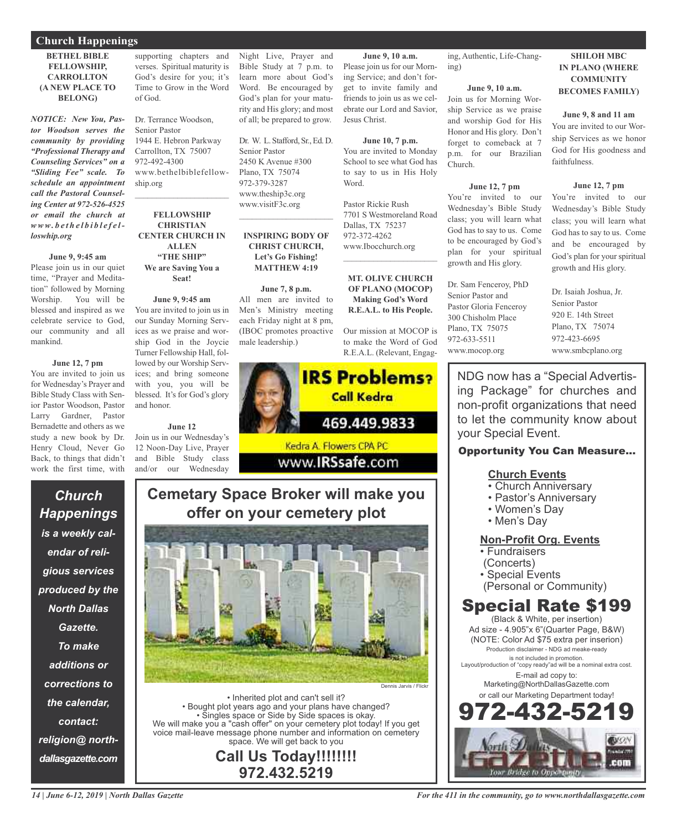## **Church Happenings**

## **BETHEL BIBLE FELLOWSHIP, CARROLLTON (A NEW PLACE TO BELONG)**

*NOTICE: New You, Pastor Woodson serves the community by providing "Professional Therapy and Counseling Services" on a "Sliding Fee" scale. To schedule an appointment call the Pastoral Counseling Center at 972-526-4525 or email the church at www. b e t h e l b i b l e f e lloswhip.org*

### **June 9, 9:45 am**

Please join us in our quiet time, "Prayer and Meditation" followed by Morning Worship. You will be blessed and inspired as we celebrate service to God, our community and all mankind.

## **June 12, 7 pm**

You are invited to join us for Wednesday's Prayer and Bible Study Class with Senior Pastor Woodson, Pastor Larry Gardner, Pastor Bernadette and others as we study a new book by Dr. Henry Cloud, Never Go Back, to things that didn't work the first time, with

*Church*

*Happenings*

*is a weekly cal-*

*endar of reli-*

*gious services*

*produced by the*

*North Dallas*

*Gazette.*

*To make*

*additions or*

*corrections to*

*the calendar,*

*contact:*

*religion@ north-*

*dallasgazette.com*

supporting chapters and verses. Spiritual maturity is God's desire for you; it's Time to Grow in the Word of God.

Dr. Terrance Woodson, Senior Pastor 1944 E. Hebron Parkway Carrollton, TX 75007 972-492-4300 www.bethelbiblefellowship.org  $\mathcal{L}_\text{max}$  and  $\mathcal{L}_\text{max}$  and  $\mathcal{L}_\text{max}$ 

**FELLOWSHIP CHRISTIAN CENTER CHURCH IN ALLEN "THE SHIP" We are Saving You a Seat!**

# **June 9, 9:45 am**

You are invited to join us in our Sunday Morning Services as we praise and worship God in the Joycie Turner Fellowship Hall, followed by our Worship Services; and bring someone with you, you will be blessed. It's for God's glory and honor.

### **June 12**

Join us in our Wednesday's 12 Noon-Day Live, Prayer and Bible Study class and/or our Wednesday

Night Live, Prayer and Bible Study at 7 p.m. to learn more about God's Word. Be encouraged by God's plan for your maturity and His glory; and most of all; be prepared to grow.

Dr. W. L. Stafford, Sr., Ed. D. Senior Pastor 2450 K Avenue #300 Plano, TX 75074 972-379-3287 www.theship3c.org www.visitF3c.org  $\overline{\phantom{a}}$  , and the set of the set of the set of the set of the set of the set of the set of the set of the set of the set of the set of the set of the set of the set of the set of the set of the set of the set of the s

## **INSPIRING BODY OF CHRIST CHURCH, Let's Go Fishing! MATTHEW 4:19**

**June 7, 8 p.m.** All men are invited to Men's Ministry meeting each Friday night at 8 pm, (IBOC promotes proactive male leadership.)



# **Cemetary Space Broker will make you offer on your cemetery plot**



• Inherited plot and can't sell it? • Bought plot years ago and your plans have changed? • Singles space or Side by Side spaces is okay. We will make you a "cash offer" on your cemetery plot today! If you get voice mail-leave message phone number and information on cemetery space. We will get back to you

> **Call Us Today!!!!!!!! 972.432.5219**

ing, Authentic, Life-Changing)

### **June 9, 10 a.m.**

**June 9, 10 a.m.** Please join us for our Morning Service; and don't forget to invite family and friends to join us as we celebrate our Lord and Savior,

**June 10, 7 p.m.** You are invited to Monday School to see what God has to say to us in His Holy

7701 S Westmoreland Road

**MT. OLIVE CHURCH OF PLANO (MOCOP) Making God's Word R.E.A.L. to His People.**

Our mission at MOCOP is to make the Word of God

Jesus Christ.

Word.

Pastor Rickie Rush

Dallas, TX 75237 972-372-4262 www.Ibocchurch.org  $\mathcal{L}$  , and the set of the set of the set of the set of the set of the set of the set of the set of the set of the set of the set of the set of the set of the set of the set of the set of the set of the set of the set Join us for Morning Worship Service as we praise and worship God for His Honor and His glory. Don't forget to comeback at 7 p.m. for our Brazilian Church.

### **June 12, 7 pm**

You're invited to our Wednesday's Bible Study class; you will learn what God has to say to us. Come to be encouraged by God's plan for your spiritual growth and His glory.

Dr. Sam Fenceroy, PhD Senior Pastor and Pastor Gloria Fenceroy 300 Chisholm Place Plano, TX 75075 972-633-5511 www.mocop.org

**SHILOH MBC IN PLANO (WHERE COMMUNITY BECOMES FAMILY)**

#### **June 9, 8 and 11 am**

You are invited to our Worship Services as we honor God for His goodness and faithfulness.

## **June 12, 7 pm**

You're invited to our Wednesday's Bible Study class; you will learn what God has to say to us. Come and be encouraged by God's plan for your spiritual growth and His glory.

Dr. Isaiah Joshua, Jr. Senior Pastor 920 E. 14th Street Plano, TX 75074 972-423-6695 www.smbcplano.org

NDG now has a "Special Advertising Package" for churches and non-profit organizations that need to let the community know about your Special Event.

## Opportunity You Can Measure...

# **Church Events**

- Church Anniversary
- Pastor's Anniversary
- Women's Day
- Men's Day

# **Non-Profit Org. Events**

• Fundraisers

- (Concerts)
- Special Events
- (Personal or Community)

# Special Rate \$199

(Black & White, per insertion) Ad size - 4.905"x 6"(Quarter Page, B&W) (NOTE: Color Ad \$75 extra per inserion) Production disclaimer - NDG ad meake-ready is not included in promotion. Layout/production of "copy ready"ad will be a nominal extra cost. E-mail ad copy to: Marketing@NorthDallasGazette.com or call our Marketing Department today! 972-432-5219

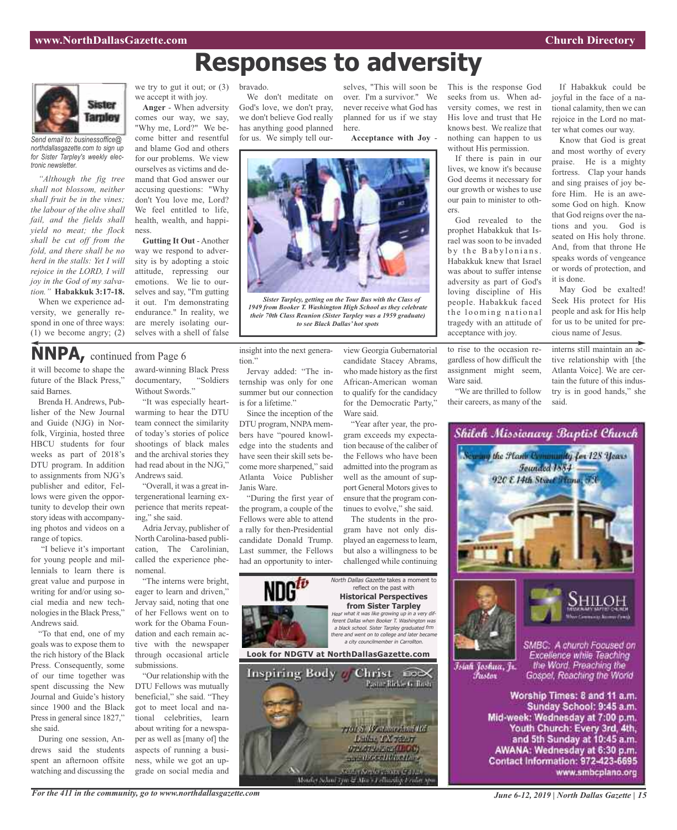# **Responses to adversity**



*Send email to: businessoffice@ northdallasgazette.com to sign up for Sister Tarpley's weekly electronic newsletter.*

*"Although the fig tree shall not blossom, neither shall fruit be in the vines; the labour of the olive shall fail, and the fields shall yield no meat; the flock shall be cut off from the fold, and there shall be no herd in the stalls: Yet I will rejoice in the LORD, I will joy in the God of my salvation."* **Habakkuk 3:17-18.**

When we experience adversity, we generally respond in one of three ways: (1) we become angry; (2)

it will become to shape the future of the Black Press,"

**NNPA,** continued from Page <sup>6</sup>

Brenda H. Andrews, Publisher of the New Journal and Guide (NJG) in Nor-

said Barnes.

we try to gut it out; or (3) we accept it with joy.

**Anger** - When adversity comes our way, we say, "Why me, Lord?" We become bitter and resentful and blame God and others for our problems. We view ourselves as victims and demand that God answer our accusing questions: "Why don't You love me, Lord? We feel entitled to life, health, wealth, and happiness.

**Gutting It Out** - Another way we respond to adversity is by adopting a stoic attitude, repressing our emotions. We lie to ourselves and say, "I'm gutting it out. I'm demonstrating endurance." In reality, we are merely isolating ourselves with a shell of false

award-winning Black Press documentary, "Soldiers

Without Swords."

#### bravado.

We don't meditate on God's love, we don't pray, we don't believe God really has anything good planned for us. We simply tell our-

selves, "This will soon be over. I'm a survivor." We never receive what God has planned for us if we stay here.

**Acceptance with Joy** -



*Sister Tarpley, getting on the Tour Bus with the Class of 1949 from Booker T. Washington High School as they celebrate their 70th Class Reunion (Sister Tarpley was a 1959 graduate) to see Black Dallas' hot spots*

insight into the next generation."

Jervay added: "The internship was only for one summer but our connection is for a lifetime."

Since the inception of the DTU program, NNPA members have "poured knowledge into the students and have seen their skill sets become more sharpened," said Atlanta Voice Publisher Janis Ware.

"During the first year of the program, a couple of the Fellows were able to attend a rally for then-Presidential candidate Donald Trump. Last summer, the Fellows had an opportunity to interview Georgia Gubernatorial candidate Stacey Abrams, who made history as the first African-American woman to qualify for the candidacy for the Democratic Party," Ware said.

"Year after year, the program exceeds my expectation because of the caliber of the Fellows who have been admitted into the program as well as the amount of support General Motors gives to ensure that the program continues to evolve," she said.

The students in the program have not only displayed an eagerness to learn, but also a willingness to be challenged while continuing

701 S. Westministration

**Luther TX TERRY** 

отлоту наменово

mand/oct/it/helph

Nearly Argeles Cathy Callant<br>Monder School Tymes Mars (Callandage) radiat sys

North Dallas Gazette takes a moment to reflect on the past with **Historical Perspectives from Sister Tarpley** Hear what it was like growing up in <sup>a</sup> very different Dallas when Booker T. Washington was <sup>a</sup> black school. Sister Tarpley graduated frm there and went on to college and later became<br>a city councilmember in Carrollton. a conogo a<br>nember in Carro **Look for NDGTV at NorthDallasGazette.com** Inspiring Body Christ 200X Pastar Rickle G. Bush

This is the response God seeks from us. When adversity comes, we rest in His love and trust that He knows best. We realize that nothing can happen to us without His permission.

If there is pain in our lives, we know it's because God deems it necessary for our growth or wishes to use our pain to minister to others.

God revealed to the prophet Habakkuk that Israel was soon to be invaded by the Babylonians. Habakkuk knew that Israel was about to suffer intense adversity as part of God's loving discipline of His people. Habakkuk faced the looming national tragedy with an attitude of acceptance with joy.

to rise to the occasion regardless of how difficult the assignment might seem, Ware said.

"We are thrilled to follow their careers, as many of the

If Habakkuk could be joyful in the face of a national calamity, then we can rejoice in the Lord no matter what comes our way.

Know that God is great and most worthy of every praise. He is a mighty fortress. Clap your hands and sing praises of joy before Him. He is an awesome God on high. Know that God reigns over the nations and you. God is seated on His holy throne. And, from that throne He speaks words of vengeance or words of protection, and it is done.

May God be exalted! Seek His protect for His people and ask for His help for us to be united for precious name of Jesus.

interns still maintain an active relationship with [the Atlanta Voice]. We are certain the future of this industry is in good hands," she said.



and 5th Sunday at 10:45 a.m. AWANA: Wednesday at 6:30 p.m. Contact Information: 972-423-6695 www.smbcplano.org

folk, Virginia, hosted three HBCU students for four weeks as part of 2018's DTU program. In addition to assignments from NJG's publisher and editor, Fellows were given the opportunity to develop their own story ideas with accompanying photos and videos on a range of topics. "I believe it's important for young people and millennials to learn there is great value and purpose in and the archival stories they had read about in the NJG," Andrews said. ing," she said. nomenal.

writing for and/or using social media and new technologies in the Black Press," Andrews said. "To that end, one of my

goals was to expose them to the rich history of the Black Press. Consequently, some of our time together was spent discussing the New Journal and Guide's history since 1900 and the Black Press in general since 1827," she said.

During one session, Andrews said the students spent an afternoon offsite watching and discussing the

## "It was especially heartwarming to hear the DTU team connect the similarity of today's stories of police shootings of black males

"Overall, it was a great intergenerational learning experience that merits repeat-

Adria Jervay, publisher of North Carolina-based publication, The Carolinian, called the experience phe-

"The interns were bright, eager to learn and driven," Jervay said, noting that one of her Fellows went on to work for the Obama Foundation and each remain active with the newspaper through occasional article submissions.

"Our relationship with the DTU Fellows was mutually beneficial," she said. "They got to meet local and national celebrities, learn about writing for a newspaper as well as [many of] the aspects of running a business, while we got an upgrade on social media and

*For the 411 in the community, go to www.northdallasgazette.com*